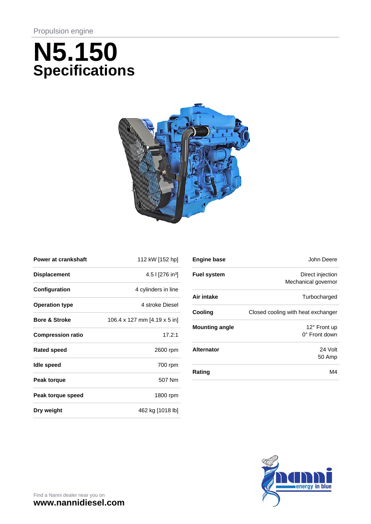# **N5.150 Specifications**



| <b>Power at crankshaft</b> | 112 kW [152 hp]                |
|----------------------------|--------------------------------|
| <b>Displacement</b>        | 4.5   $[276$ in <sup>3</sup> ] |
| Configuration              | 4 cylinders in line            |
| <b>Operation type</b>      | 4 stroke Diesel                |
| <b>Bore &amp; Stroke</b>   | 106.4 x 127 mm [4.19 x 5 in]   |
| <b>Compression ratio</b>   | 17.2:1                         |
| <b>Rated speed</b>         | 2600 rpm                       |
| Idle speed                 | 700 rpm                        |
| Peak torque                | 507 Nm                         |
| Peak torque speed          | 1800 rpm                       |
| Dry weight                 | 462 kg [1018 lb]               |

| <b>Engine base</b>    | John Deere                                    |
|-----------------------|-----------------------------------------------|
| <b>Fuel system</b>    | Direct injection<br>Mechanical governor       |
| Air intake            | Turbocharged                                  |
| Cooling               | Closed cooling with heat exchanger            |
| <b>Mounting angle</b> | $12^{\circ}$ Front up<br>$0^\circ$ Front down |
| <b>Alternator</b>     | 24 Volt<br>50 Amp                             |
| Rating                | M4                                            |